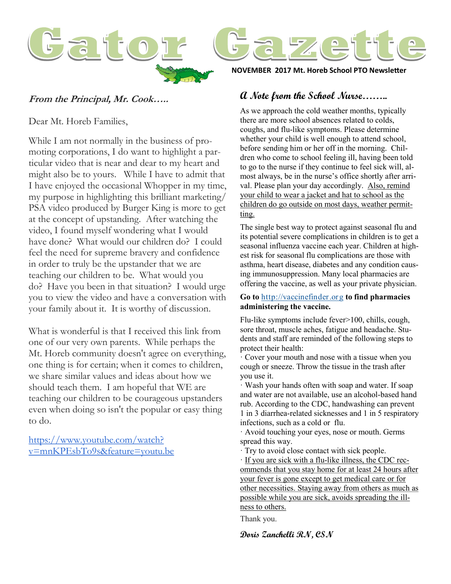

# **From the Principal, Mr. Cook…..**

Dear Mt. Horeb Families,

While I am not normally in the business of promoting corporations, I do want to highlight a particular video that is near and dear to my heart and might also be to yours. While I have to admit that I have enjoyed the occasional Whopper in my time, my purpose in highlighting this brilliant marketing/ PSA video produced by Burger King is more to get at the concept of upstanding. After watching the video, I found myself wondering what I would have done? What would our children do? I could feel the need for supreme bravery and confidence in order to truly be the upstander that we are teaching our children to be. What would you do? Have you been in that situation? I would urge you to view the video and have a conversation with your family about it. It is worthy of discussion.

What is wonderful is that I received this link from one of our very own parents. While perhaps the Mt. Horeb community doesn't agree on everything, one thing is for certain; when it comes to children, we share similar values and ideas about how we should teach them. I am hopeful that WE are teaching our children to be courageous upstanders even when doing so isn't the popular or easy thing to do.

[https://www.youtube.com/watch?](https://www.youtube.com/watch?v=mnKPEsbTo9s&feature=youtu.be) [v=mnKPEsbTo9s&feature=youtu.be](https://www.youtube.com/watch?v=mnKPEsbTo9s&feature=youtu.be) **NOVEMBER 2017 Mt. Horeb School PTO Newsletter**

# **A Note from the School Nurse……..**

As we approach the cold weather months, typically there are more school absences related to colds, coughs, and flu-like symptoms. Please determine whether your child is well enough to attend school, before sending him or her off in the morning. Children who come to school feeling ill, having been told to go to the nurse if they continue to feel sick will, almost always, be in the nurse's office shortly after arrival. Please plan your day accordingly. Also, remind your child to wear a jacket and hat to school as the children do go outside on most days, weather permitting.

The single best way to protect against seasonal flu and its potential severe complications in children is to get a seasonal influenza vaccine each year. Children at highest risk for seasonal flu complications are those with asthma, heart disease, diabetes and any condition causing immunosuppression. Many local pharmacies are offering the vaccine, as well as your private physician.

#### **Go to** <http://vaccinefinder.org> **to find pharmacies administering the vaccine.**

Flu-like symptoms include fever>100, chills, cough, sore throat, muscle aches, fatigue and headache. Students and staff are reminded of the following steps to protect their health:

· Cover your mouth and nose with a tissue when you cough or sneeze. Throw the tissue in the trash after you use it.

· Wash your hands often with soap and water. If soap and water are not available, use an alcohol-based hand rub. According to the CDC, handwashing can prevent 1 in 3 diarrhea-related sicknesses and 1 in 5 respiratory infections, such as a cold or flu.

· Avoid touching your eyes, nose or mouth. Germs spread this way.

· Try to avoid close contact with sick people.

· If you are sick with a flu-like illness, the CDC recommends that you stay home for at least 24 hours after your fever is gone except to get medical care or for other necessities. Staying away from others as much as possible while you are sick, avoids spreading the illness to others.

Thank you.

**Doris Zanchelli RN, CSN**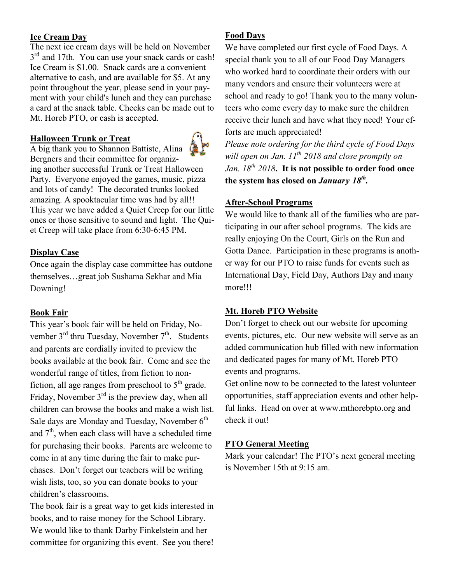# **Ice Cream Day**

The next ice cream days will be held on November 3<sup>rd</sup> and 17th. You can use your snack cards or cash! Ice Cream is \$1.00. Snack cards are a convenient alternative to cash, and are available for \$5. At any point throughout the year, please send in your payment with your child's lunch and they can purchase a card at the snack table. Checks can be made out to Mt. Horeb PTO, or cash is accepted.

### **Halloween Trunk or Treat**



A big thank you to Shannon Battiste, Alina Bergners and their committee for organizing another successful Trunk or Treat Halloween Party. Everyone enjoyed the games, music, pizza and lots of candy! The decorated trunks looked amazing. A spooktacular time was had by all!! This year we have added a Quiet Creep for our little ones or those sensitive to sound and light. The Quiet Creep will take place from 6:30-6:45 PM.

# **Display Case**

Once again the display case committee has outdone themselves…great job Sushama Sekhar and Mia Downing!

### **Book Fair**

This year's book fair will be held on Friday, November  $3<sup>rd</sup>$  thru Tuesday, November  $7<sup>th</sup>$ . Students and parents are cordially invited to preview the books available at the book fair. Come and see the wonderful range of titles, from fiction to nonfiction, all age ranges from preschool to  $5<sup>th</sup>$  grade. Friday, November  $3<sup>rd</sup>$  is the preview day, when all children can browse the books and make a wish list. Sale days are Monday and Tuesday, November  $6<sup>th</sup>$ and  $7<sup>th</sup>$ , when each class will have a scheduled time for purchasing their books. Parents are welcome to come in at any time during the fair to make purchases. Don't forget our teachers will be writing wish lists, too, so you can donate books to your children's classrooms.

The book fair is a great way to get kids interested in books, and to raise money for the School Library. We would like to thank Darby Finkelstein and her committee for organizing this event. See you there!

#### **Food Days**

We have completed our first cycle of Food Days. A special thank you to all of our Food Day Managers who worked hard to coordinate their orders with our many vendors and ensure their volunteers were at school and ready to go! Thank you to the many volunteers who come every day to make sure the children receive their lunch and have what they need! Your efforts are much appreciated!

*Please note ordering for the third cycle of Food Days will open on Jan. 11th 2018 and close promptly on Jan. 18th 2018***. It is not possible to order food once the system has closed on** *January 18th .*

### **After-School Programs**

We would like to thank all of the families who are participating in our after school programs. The kids are really enjoying On the Court, Girls on the Run and Gotta Dance. Participation in these programs is another way for our PTO to raise funds for events such as International Day, Field Day, Authors Day and many more!!!

#### **Mt. Horeb PTO Website**

Don't forget to check out our website for upcoming events, pictures, etc. Our new website will serve as an added communication hub filled with new information and dedicated pages for many of Mt. Horeb PTO events and programs.

Get online now to be connected to the latest volunteer opportunities, staff appreciation events and other helpful links. [Head on over](https://mthorebpto.org/) at www.mthorebpto.org and check it out!

### **PTO General Meeting**

Mark your calendar! The PTO's next general meeting is November 15th at 9:15 am.